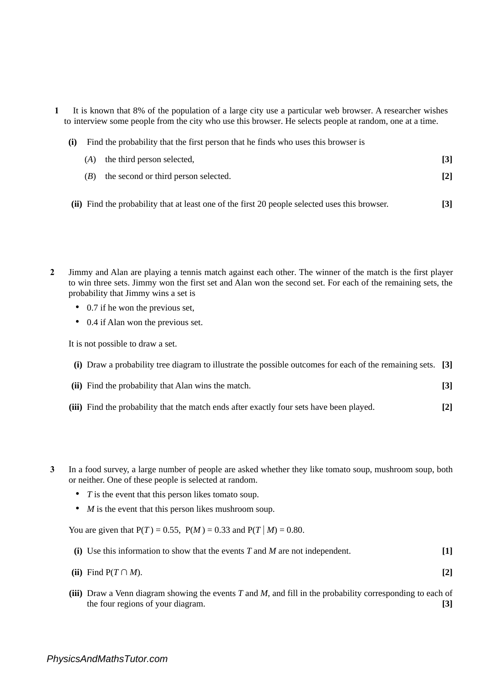**1** It is known that 8% of the population of a large city use a particular web browser. A researcher wishes to interview some people from the city who use this browser. He selects people at random, one at a time.

|  | (i) Find the probability that the first person that he finds who uses this browser is |
|--|---------------------------------------------------------------------------------------|
|  | $(A)$ the third person selected.                                                      |

**[2]** (*B*) the second or third person selected.

**[3]**

- **(ii)** Find the probability that at least one of the first 20 people selected uses this browser. **[3]**
- **2** Jimmy and Alan are playing a tennis match against each other. The winner of the match is the first player to win three sets. Jimmy won the first set and Alan won the second set. For each of the remaining sets, the probability that Jimmy wins a set is
	- 0.7 if he won the previous set.
	- 0.4 if Alan won the previous set.

It is not possible to draw a set.

- **(i)** Draw a probability tree diagram to illustrate the possible outcomes for each of the remaining sets. **[3]**
- **(ii)** Find the probability that Alan wins the match. **[3]**
- **(iii)** Find the probability that the match ends after exactly four sets have been played. **[2]**
- **3** In a food survey, a large number of people are asked whether they like tomato soup, mushroom soup, both or neither. One of these people is selected at random.
	- *T* is the event that this person likes tomato soup.
	- *M* is the event that this person likes mushroom soup.

You are given that  $P(T) = 0.55$ ,  $P(M) = 0.33$  and  $P(T|M) = 0.80$ .

- **(i)** Use this information to show that the events *T* and *M* are not independent. **[1]**
- **(ii)** Find P( $T \cap M$ ). **[2]**
- **(iii)** Draw a Venn diagram showing the events *T* and *M*, and fill in the probability corresponding to each of the four regions of your diagram. **[3]**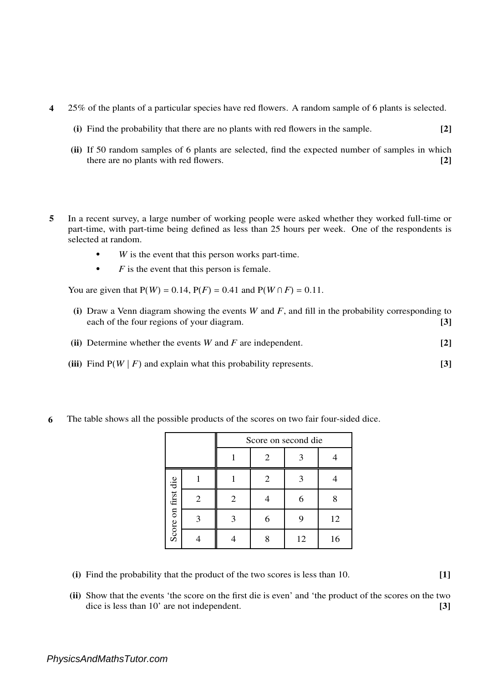- **4** 25% of the plants of a particular species have red flowers. A random sample of 6 plants is selected.
	- **(i)** Find the probability that there are no plants with red flowers in the sample. **[2]**
	- **(ii)** If 50 random samples of 6 plants are selected, find the expected number of samples in which there are no plants with red flowers. **[2]**
- **5** In a recent survey, a large number of working people were asked whether they worked full-time or part-time, with part-time being defined as less than 25 hours per week. One of the respondents is selected at random.
	- **•** *W* is the event that this person works part-time.
	- *F* is the event that this person is female.

You are given that  $P(W) = 0.14$ ,  $P(F) = 0.41$  and  $P(W \cap F) = 0.11$ .

- **(i)** Draw a Venn diagram showing the events *W* and *F*, and fill in the probability corresponding to each of the four regions of your diagram. **[3]**
- **(ii)** Determine whether the events *W* and *F* are independent. **[2]**
- **(iii)** Find  $P(W | F)$  and explain what this probability represents. **[3]** 
	- Score on second die  $1 \quad 2 \quad 3 \quad 4$  $1 \mid 1 \mid 2 \mid 3 \mid 4$ Score on first die Score on first die 2 | 2 | 4 | 6 | 8 3 3 6 9 12 4 | 4 | 8 | 12 | 16
- **6** The table shows all the possible products of the scores on two fair four-sided dice.

- **(i)** Find the probability that the product of the two scores is less than 10. **[1]**
- **(ii)** Show that the events 'the score on the first die is even' and 'the product of the scores on the two dice is less than 10' are not independent. **[3]**